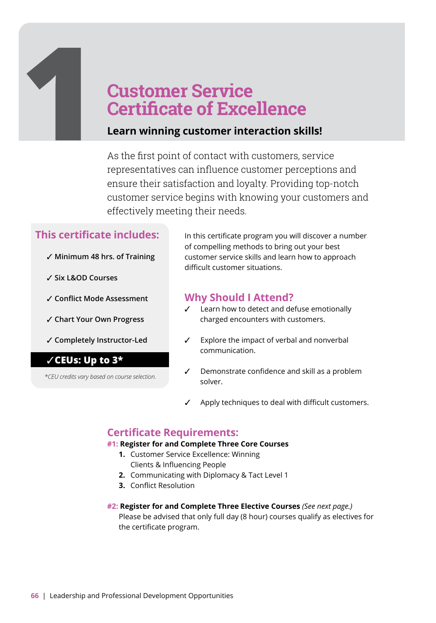# **12 <b>12 Customer Service**<br>**12 Certificate of Exce**<br>**14 Learn winning customer inter**<br>As the first point of contact with c **Certificate of Excellence**

# **Learn winning customer interaction skills!**

As the first point of contact with customers, service representatives can influence customer perceptions and ensure their satisfaction and loyalty. Providing top-notch customer service begins with knowing your customers and effectively meeting their needs.

# **This certificate includes:**

- ✓ **Minimum 48 hrs. of Training**
- ✓ **Six L&OD Courses**
- ✓ **Conflict Mode Assessment**
- ✓ **Chart Your Own Progress**
- ✓ **Completely Instructor-Led**

#### ✓**CEUs: Up to 3\***

*\*CEU credits vary based on course selection.* 

In this certificate program you will discover a number of compelling methods to bring out your best customer service skills and learn how to approach difficult customer situations.

## **Why Should I Attend?**

- Learn how to detect and defuse emotionally charged encounters with customers.
- ✓ Explore the impact of verbal and nonverbal communication.
- Demonstrate confidence and skill as a problem solver.
- Apply techniques to deal with difficult customers.

# **Certificate Requirements:**

#### **#1: Register for and Complete Three Core Courses**

- **1.** Customer Service Excellence: Winning Clients & Influencing People
- **2.** Communicating with Diplomacy & Tact Level 1
- **3.** Conflict Resolution

#### **#2: Register for and Complete Three Elective Courses** *(See next page.)*  Please be advised that only full day (8 hour) courses qualify as electives for the certificate program.